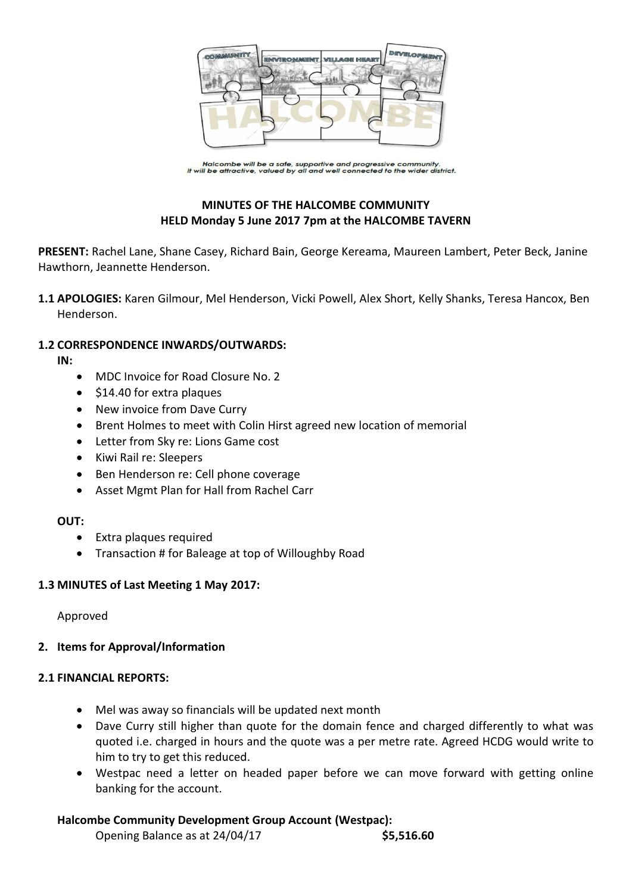

Halcombe will be a safe, supportive and progressive community.<br>It will be attractive, valued by all and well connected to the wider district.

# **MINUTES OF THE HALCOMBE COMMUNITY HELD Monday 5 June 2017 7pm at the HALCOMBE TAVERN**

**PRESENT:** Rachel Lane, Shane Casey, Richard Bain, George Kereama, Maureen Lambert, Peter Beck, Janine Hawthorn, Jeannette Henderson.

**1.1 APOLOGIES:** Karen Gilmour, Mel Henderson, Vicki Powell, Alex Short, Kelly Shanks, Teresa Hancox, Ben Henderson.

### **1.2 CORRESPONDENCE INWARDS/OUTWARDS:**

**IN:** 

- MDC Invoice for Road Closure No. 2
- \$14.40 for extra plaques
- New invoice from Dave Curry
- Brent Holmes to meet with Colin Hirst agreed new location of memorial
- Letter from Sky re: Lions Game cost
- Kiwi Rail re: Sleepers
- Ben Henderson re: Cell phone coverage
- Asset Mgmt Plan for Hall from Rachel Carr

#### **OUT:**

- Extra plaques required
- Transaction # for Baleage at top of Willoughby Road

#### **1.3 MINUTES of Last Meeting 1 May 2017:**

Approved

#### **2. Items for Approval/Information**

#### **2.1 FINANCIAL REPORTS:**

- Mel was away so financials will be updated next month
- Dave Curry still higher than quote for the domain fence and charged differently to what was quoted i.e. charged in hours and the quote was a per metre rate. Agreed HCDG would write to him to try to get this reduced.
- Westpac need a letter on headed paper before we can move forward with getting online banking for the account.

## **Halcombe Community Development Group Account (Westpac):**

Opening Balance as at 24/04/17 **\$5,516.60**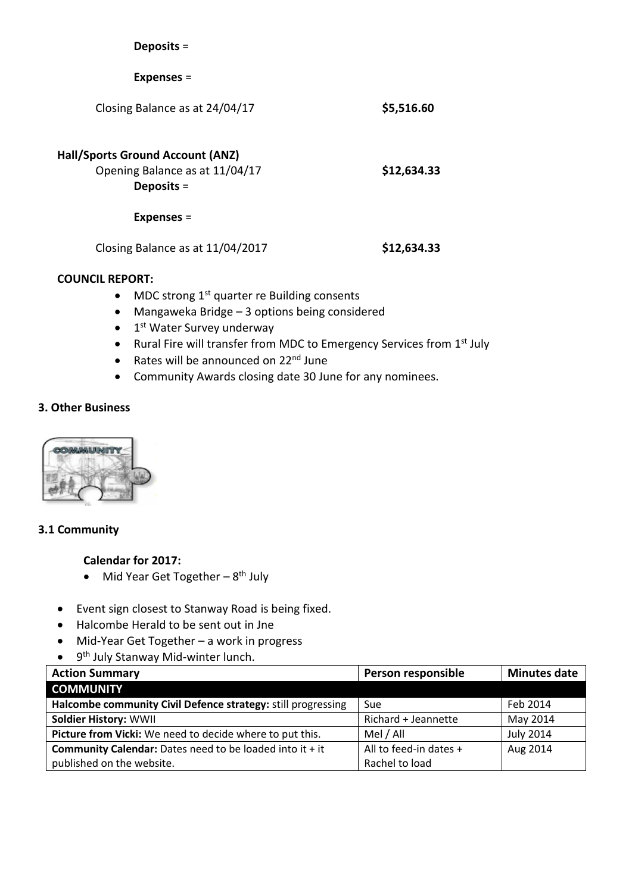| Deposits $=$                                                                       |             |
|------------------------------------------------------------------------------------|-------------|
| $Expenses =$                                                                       |             |
| Closing Balance as at 24/04/17                                                     | \$5,516.60  |
| Hall/Sports Ground Account (ANZ)<br>Opening Balance as at 11/04/17<br>Deposits $=$ | \$12,634.33 |
| <b>Expenses =</b>                                                                  |             |
| Closing Balance as at 11/04/2017                                                   | \$12,634.33 |

### **COUNCIL REPORT:**

- $\bullet$  MDC strong 1<sup>st</sup> quarter re Building consents
- Mangaweka Bridge 3 options being considered
- 1<sup>st</sup> Water Survey underway
- Rural Fire will transfer from MDC to Emergency Services from 1<sup>st</sup> July
- Rates will be announced on  $22<sup>nd</sup>$  June
- Community Awards closing date 30 June for any nominees.

### **3. Other Business**



#### **3.1 Community**

# **Calendar for 2017:**

- Mid Year Get Together 8<sup>th</sup> July
- Event sign closest to Stanway Road is being fixed.
- Halcombe Herald to be sent out in Jne
- Mid-Year Get Together a work in progress
- 9<sup>th</sup> July Stanway Mid-winter lunch.

| <b>Action Summary</b>                                             | Person responsible     | <b>Minutes date</b> |
|-------------------------------------------------------------------|------------------------|---------------------|
| <b>COMMUNITY</b>                                                  |                        |                     |
| Halcombe community Civil Defence strategy: still progressing      | Sue                    | Feb 2014            |
| <b>Soldier History: WWII</b>                                      | Richard + Jeannette    | May 2014            |
| Picture from Vicki: We need to decide where to put this.          | Mel / All              | <b>July 2014</b>    |
| <b>Community Calendar:</b> Dates need to be loaded into it $+$ it | All to feed-in dates + | Aug 2014            |
| published on the website.                                         | Rachel to load         |                     |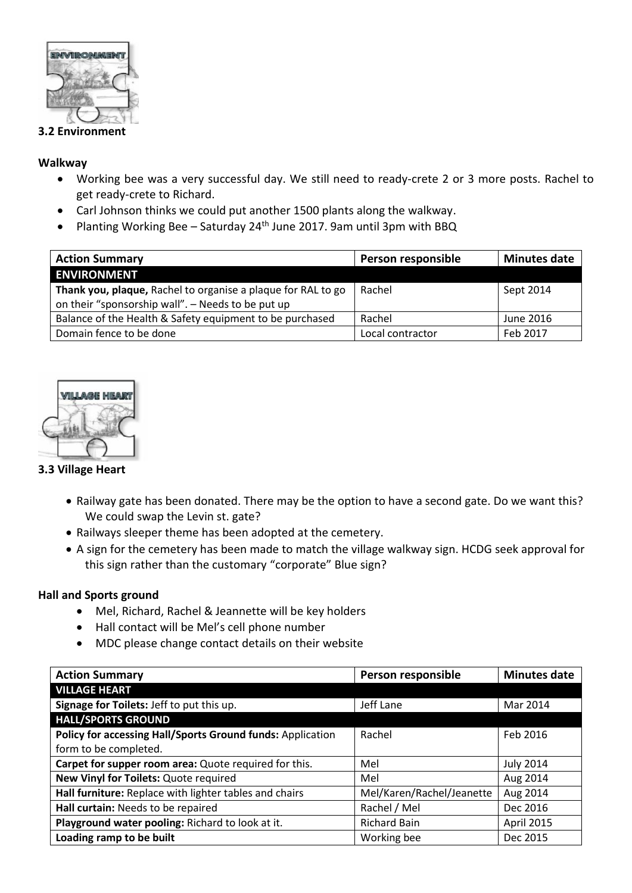

### **3.2 Environment**

### **Walkway**

- Working bee was a very successful day. We still need to ready-crete 2 or 3 more posts. Rachel to get ready-crete to Richard.
- Carl Johnson thinks we could put another 1500 plants along the walkway.
- Planting Working Bee Saturday 24<sup>th</sup> June 2017. 9am until 3pm with BBQ

| <b>Action Summary</b>                                        | Person responsible | <b>Minutes date</b> |
|--------------------------------------------------------------|--------------------|---------------------|
| <b>ENVIRONMENT</b>                                           |                    |                     |
| Thank you, plaque, Rachel to organise a plaque for RAL to go | Rachel             | Sept 2014           |
| on their "sponsorship wall". - Needs to be put up            |                    |                     |
| Balance of the Health & Safety equipment to be purchased     | Rachel             | June 2016           |
| Domain fence to be done                                      | Local contractor   | Feb 2017            |



## **3.3 Village Heart**

- Railway gate has been donated. There may be the option to have a second gate. Do we want this? We could swap the Levin st. gate?
- Railways sleeper theme has been adopted at the cemetery.
- A sign for the cemetery has been made to match the village walkway sign. HCDG seek approval for this sign rather than the customary "corporate" Blue sign?

## **Hall and Sports ground**

- Mel, Richard, Rachel & Jeannette will be key holders
- Hall contact will be Mel's cell phone number
- MDC please change contact details on their website

| <b>Action Summary</b>                                      | Person responsible        | <b>Minutes date</b> |
|------------------------------------------------------------|---------------------------|---------------------|
| <b>VILLAGE HEART</b>                                       |                           |                     |
| Signage for Toilets: Jeff to put this up.                  | Jeff Lane                 | Mar 2014            |
| <b>HALL/SPORTS GROUND</b>                                  |                           |                     |
| Policy for accessing Hall/Sports Ground funds: Application | Rachel                    | Feb 2016            |
| form to be completed.                                      |                           |                     |
| Carpet for supper room area: Quote required for this.      | Mel                       | <b>July 2014</b>    |
| New Vinyl for Toilets: Quote required                      | Mel                       | Aug 2014            |
| Hall furniture: Replace with lighter tables and chairs     | Mel/Karen/Rachel/Jeanette | Aug 2014            |
| Hall curtain: Needs to be repaired                         | Rachel / Mel              | Dec 2016            |
| Playground water pooling: Richard to look at it.           | <b>Richard Bain</b>       | <b>April 2015</b>   |
| Loading ramp to be built                                   | Working bee               | Dec 2015            |